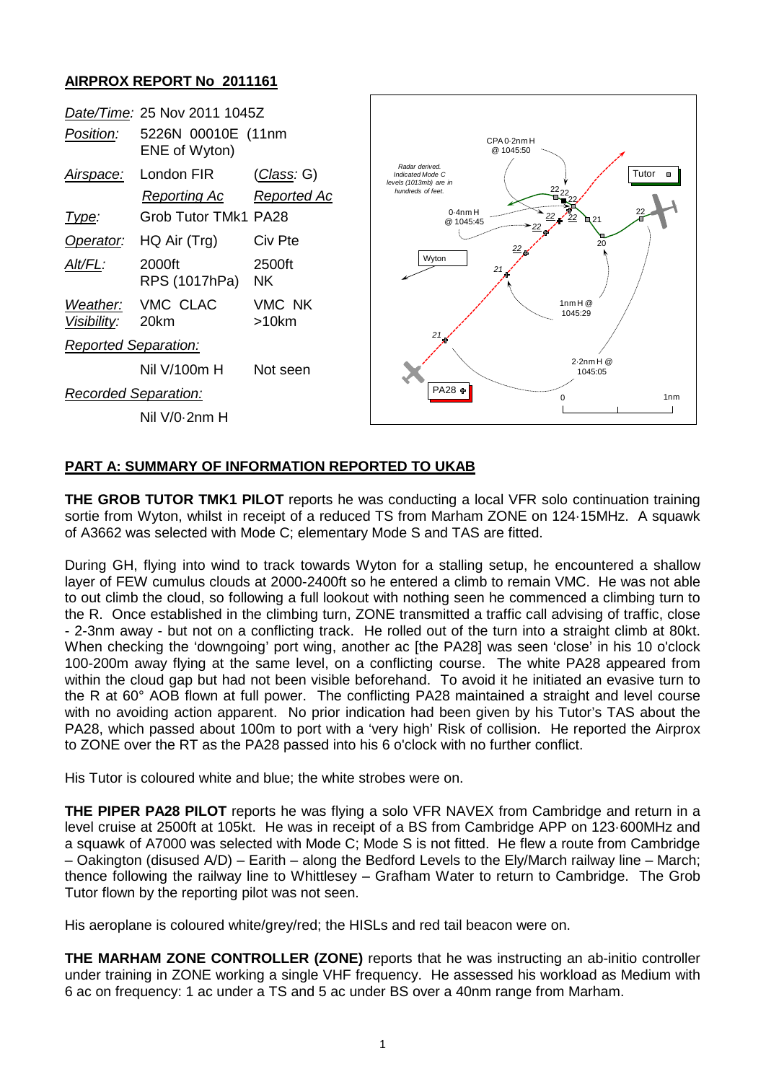## **AIRPROX REPORT No 2011161**



## **PART A: SUMMARY OF INFORMATION REPORTED TO UKAB**

**THE GROB TUTOR TMK1 PILOT** reports he was conducting a local VFR solo continuation training sortie from Wyton, whilst in receipt of a reduced TS from Marham ZONE on 124·15MHz. A squawk of A3662 was selected with Mode C; elementary Mode S and TAS are fitted.

During GH, flying into wind to track towards Wyton for a stalling setup, he encountered a shallow layer of FEW cumulus clouds at 2000-2400ft so he entered a climb to remain VMC. He was not able to out climb the cloud, so following a full lookout with nothing seen he commenced a climbing turn to the R. Once established in the climbing turn, ZONE transmitted a traffic call advising of traffic, close - 2-3nm away - but not on a conflicting track. He rolled out of the turn into a straight climb at 80kt. When checking the 'downgoing' port wing, another ac [the PA28] was seen 'close' in his 10 o'clock 100-200m away flying at the same level, on a conflicting course. The white PA28 appeared from within the cloud gap but had not been visible beforehand. To avoid it he initiated an evasive turn to the R at 60° AOB flown at full power. The conflicting PA28 maintained a straight and level course with no avoiding action apparent. No prior indication had been given by his Tutor's TAS about the PA28, which passed about 100m to port with a 'very high' Risk of collision. He reported the Airprox to ZONE over the RT as the PA28 passed into his 6 o'clock with no further conflict.

His Tutor is coloured white and blue; the white strobes were on.

**THE PIPER PA28 PILOT** reports he was flying a solo VFR NAVEX from Cambridge and return in a level cruise at 2500ft at 105kt. He was in receipt of a BS from Cambridge APP on 123·600MHz and a squawk of A7000 was selected with Mode C; Mode S is not fitted. He flew a route from Cambridge – Oakington (disused A/D) – Earith – along the Bedford Levels to the Ely/March railway line – March; thence following the railway line to Whittlesey – Grafham Water to return to Cambridge. The Grob Tutor flown by the reporting pilot was not seen.

His aeroplane is coloured white/grey/red; the HISLs and red tail beacon were on.

**THE MARHAM ZONE CONTROLLER (ZONE)** reports that he was instructing an ab-initio controller under training in ZONE working a single VHF frequency. He assessed his workload as Medium with 6 ac on frequency: 1 ac under a TS and 5 ac under BS over a 40nm range from Marham.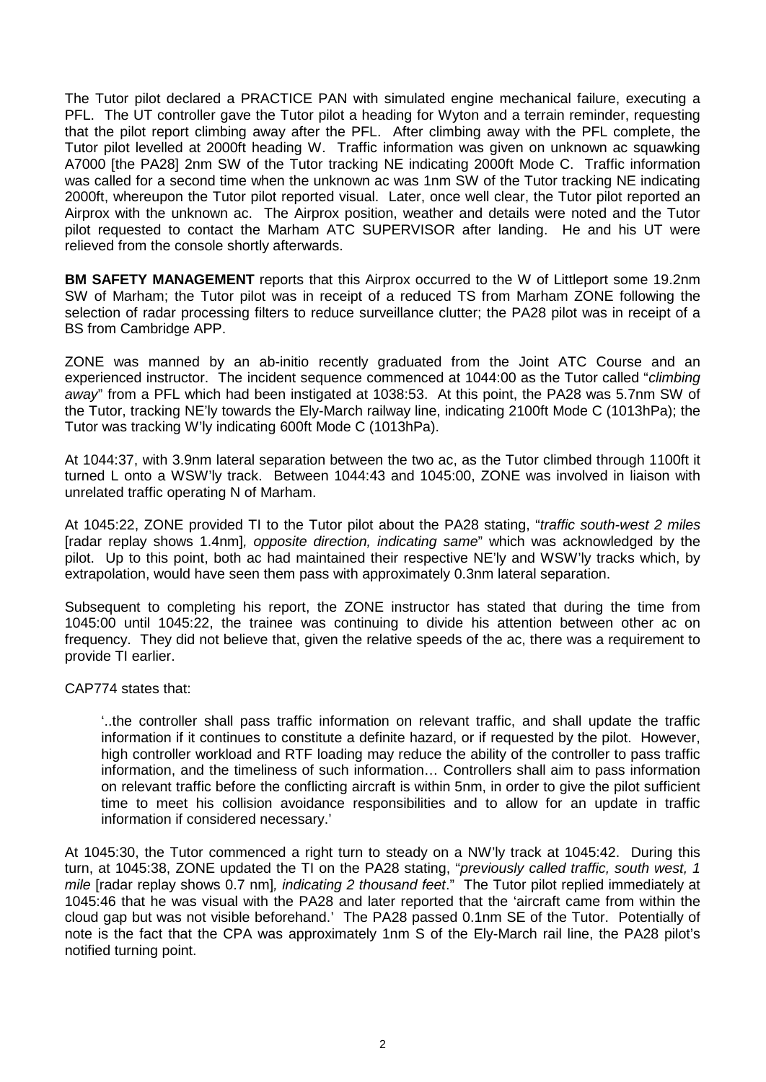The Tutor pilot declared a PRACTICE PAN with simulated engine mechanical failure, executing a PFL. The UT controller gave the Tutor pilot a heading for Wyton and a terrain reminder, requesting that the pilot report climbing away after the PFL. After climbing away with the PFL complete, the Tutor pilot levelled at 2000ft heading W. Traffic information was given on unknown ac squawking A7000 [the PA28] 2nm SW of the Tutor tracking NE indicating 2000ft Mode C. Traffic information was called for a second time when the unknown ac was 1nm SW of the Tutor tracking NE indicating 2000ft, whereupon the Tutor pilot reported visual. Later, once well clear, the Tutor pilot reported an Airprox with the unknown ac. The Airprox position, weather and details were noted and the Tutor pilot requested to contact the Marham ATC SUPERVISOR after landing. He and his UT were relieved from the console shortly afterwards.

**BM SAFETY MANAGEMENT** reports that this Airprox occurred to the W of Littleport some 19.2nm SW of Marham; the Tutor pilot was in receipt of a reduced TS from Marham ZONE following the selection of radar processing filters to reduce surveillance clutter; the PA28 pilot was in receipt of a BS from Cambridge APP.

ZONE was manned by an ab-initio recently graduated from the Joint ATC Course and an experienced instructor. The incident sequence commenced at 1044:00 as the Tutor called "*climbing away*" from a PFL which had been instigated at 1038:53. At this point, the PA28 was 5.7nm SW of the Tutor, tracking NE'ly towards the Ely-March railway line, indicating 2100ft Mode C (1013hPa); the Tutor was tracking W'ly indicating 600ft Mode C (1013hPa).

At 1044:37, with 3.9nm lateral separation between the two ac, as the Tutor climbed through 1100ft it turned L onto a WSW'ly track. Between 1044:43 and 1045:00, ZONE was involved in liaison with unrelated traffic operating N of Marham.

At 1045:22, ZONE provided TI to the Tutor pilot about the PA28 stating, "*traffic south-west 2 miles* [radar replay shows 1.4nm]*, opposite direction, indicating same*" which was acknowledged by the pilot. Up to this point, both ac had maintained their respective NE'ly and WSW'ly tracks which, by extrapolation, would have seen them pass with approximately 0.3nm lateral separation.

Subsequent to completing his report, the ZONE instructor has stated that during the time from 1045:00 until 1045:22, the trainee was continuing to divide his attention between other ac on frequency. They did not believe that, given the relative speeds of the ac, there was a requirement to provide TI earlier.

CAP774 states that:

'..the controller shall pass traffic information on relevant traffic, and shall update the traffic information if it continues to constitute a definite hazard, or if requested by the pilot. However, high controller workload and RTF loading may reduce the ability of the controller to pass traffic information, and the timeliness of such information… Controllers shall aim to pass information on relevant traffic before the conflicting aircraft is within 5nm, in order to give the pilot sufficient time to meet his collision avoidance responsibilities and to allow for an update in traffic information if considered necessary.'

At 1045:30, the Tutor commenced a right turn to steady on a NW'ly track at 1045:42. During this turn, at 1045:38, ZONE updated the TI on the PA28 stating, "*previously called traffic, south west, 1 mile* [radar replay shows 0.7 nm]*, indicating 2 thousand feet*." The Tutor pilot replied immediately at 1045:46 that he was visual with the PA28 and later reported that the 'aircraft came from within the cloud gap but was not visible beforehand.' The PA28 passed 0.1nm SE of the Tutor. Potentially of note is the fact that the CPA was approximately 1nm S of the Ely-March rail line, the PA28 pilot's notified turning point.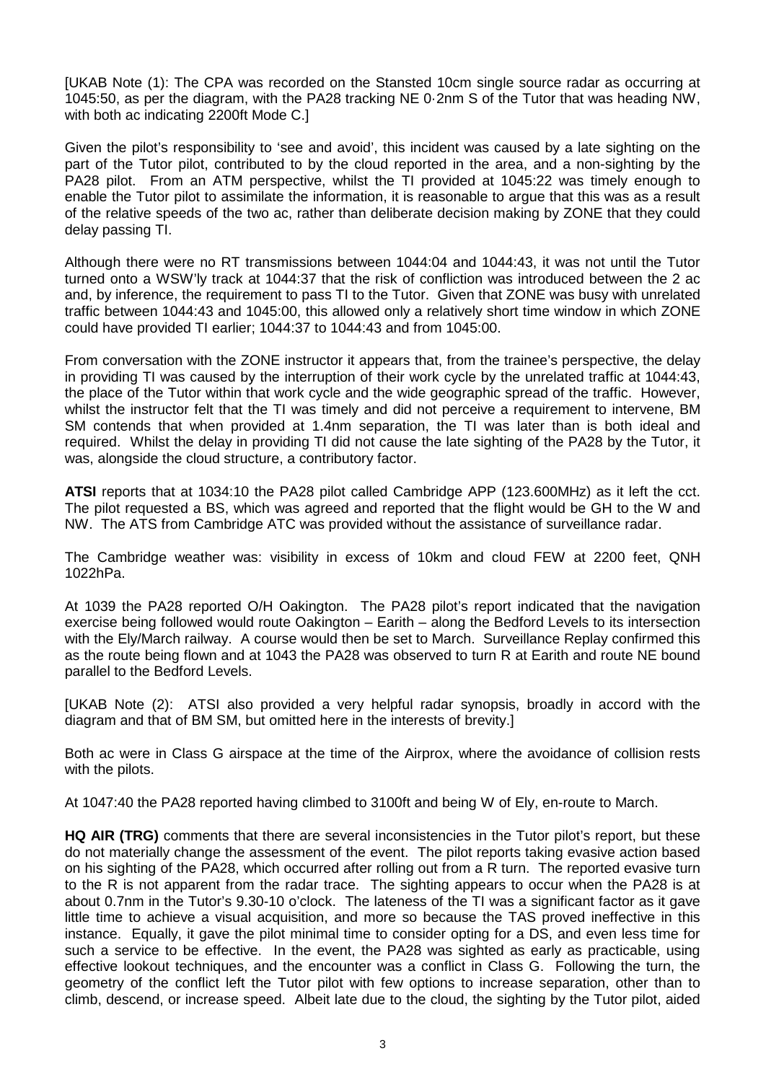[UKAB Note (1): The CPA was recorded on the Stansted 10cm single source radar as occurring at 1045:50, as per the diagram, with the PA28 tracking NE 0·2nm S of the Tutor that was heading NW, with both ac indicating 2200ft Mode C.]

Given the pilot's responsibility to 'see and avoid', this incident was caused by a late sighting on the part of the Tutor pilot, contributed to by the cloud reported in the area, and a non-sighting by the PA28 pilot. From an ATM perspective, whilst the TI provided at 1045:22 was timely enough to enable the Tutor pilot to assimilate the information, it is reasonable to argue that this was as a result of the relative speeds of the two ac, rather than deliberate decision making by ZONE that they could delay passing TI.

Although there were no RT transmissions between 1044:04 and 1044:43, it was not until the Tutor turned onto a WSW'ly track at 1044:37 that the risk of confliction was introduced between the 2 ac and, by inference, the requirement to pass TI to the Tutor. Given that ZONE was busy with unrelated traffic between 1044:43 and 1045:00, this allowed only a relatively short time window in which ZONE could have provided TI earlier; 1044:37 to 1044:43 and from 1045:00.

From conversation with the ZONE instructor it appears that, from the trainee's perspective, the delay in providing TI was caused by the interruption of their work cycle by the unrelated traffic at 1044:43, the place of the Tutor within that work cycle and the wide geographic spread of the traffic. However, whilst the instructor felt that the TI was timely and did not perceive a requirement to intervene, BM SM contends that when provided at 1.4nm separation, the TI was later than is both ideal and required. Whilst the delay in providing TI did not cause the late sighting of the PA28 by the Tutor, it was, alongside the cloud structure, a contributory factor.

**ATSI** reports that at 1034:10 the PA28 pilot called Cambridge APP (123.600MHz) as it left the cct. The pilot requested a BS, which was agreed and reported that the flight would be GH to the W and NW. The ATS from Cambridge ATC was provided without the assistance of surveillance radar.

The Cambridge weather was: visibility in excess of 10km and cloud FEW at 2200 feet, QNH 1022hPa.

At 1039 the PA28 reported O/H Oakington. The PA28 pilot's report indicated that the navigation exercise being followed would route Oakington – Earith – along the Bedford Levels to its intersection with the Ely/March railway. A course would then be set to March. Surveillance Replay confirmed this as the route being flown and at 1043 the PA28 was observed to turn R at Earith and route NE bound parallel to the Bedford Levels.

[UKAB Note (2): ATSI also provided a very helpful radar synopsis, broadly in accord with the diagram and that of BM SM, but omitted here in the interests of brevity.]

Both ac were in Class G airspace at the time of the Airprox, where the avoidance of collision rests with the pilots.

At 1047:40 the PA28 reported having climbed to 3100ft and being W of Ely, en-route to March.

**HQ AIR (TRG)** comments that there are several inconsistencies in the Tutor pilot's report, but these do not materially change the assessment of the event. The pilot reports taking evasive action based on his sighting of the PA28, which occurred after rolling out from a R turn. The reported evasive turn to the R is not apparent from the radar trace. The sighting appears to occur when the PA28 is at about 0.7nm in the Tutor's 9.30-10 o'clock. The lateness of the TI was a significant factor as it gave little time to achieve a visual acquisition, and more so because the TAS proved ineffective in this instance. Equally, it gave the pilot minimal time to consider opting for a DS, and even less time for such a service to be effective. In the event, the PA28 was sighted as early as practicable, using effective lookout techniques, and the encounter was a conflict in Class G. Following the turn, the geometry of the conflict left the Tutor pilot with few options to increase separation, other than to climb, descend, or increase speed. Albeit late due to the cloud, the sighting by the Tutor pilot, aided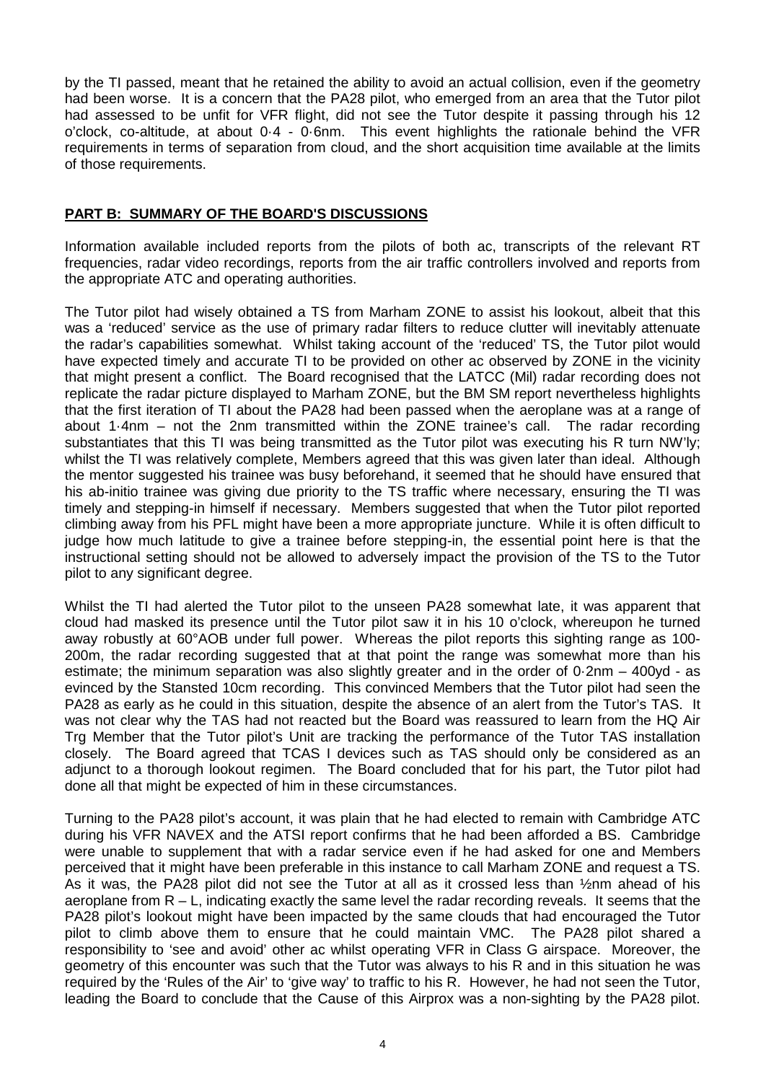by the TI passed, meant that he retained the ability to avoid an actual collision, even if the geometry had been worse. It is a concern that the PA28 pilot, who emerged from an area that the Tutor pilot had assessed to be unfit for VFR flight, did not see the Tutor despite it passing through his 12 o'clock, co-altitude, at about 0·4 - 0·6nm. This event highlights the rationale behind the VFR requirements in terms of separation from cloud, and the short acquisition time available at the limits of those requirements.

## **PART B: SUMMARY OF THE BOARD'S DISCUSSIONS**

Information available included reports from the pilots of both ac, transcripts of the relevant RT frequencies, radar video recordings, reports from the air traffic controllers involved and reports from the appropriate ATC and operating authorities.

The Tutor pilot had wisely obtained a TS from Marham ZONE to assist his lookout, albeit that this was a 'reduced' service as the use of primary radar filters to reduce clutter will inevitably attenuate the radar's capabilities somewhat. Whilst taking account of the 'reduced' TS, the Tutor pilot would have expected timely and accurate TI to be provided on other ac observed by ZONE in the vicinity that might present a conflict. The Board recognised that the LATCC (Mil) radar recording does not replicate the radar picture displayed to Marham ZONE, but the BM SM report nevertheless highlights that the first iteration of TI about the PA28 had been passed when the aeroplane was at a range of about 1·4nm – not the 2nm transmitted within the ZONE trainee's call. The radar recording substantiates that this TI was being transmitted as the Tutor pilot was executing his R turn NW'ly; whilst the TI was relatively complete, Members agreed that this was given later than ideal. Although the mentor suggested his trainee was busy beforehand, it seemed that he should have ensured that his ab-initio trainee was giving due priority to the TS traffic where necessary, ensuring the TI was timely and stepping-in himself if necessary. Members suggested that when the Tutor pilot reported climbing away from his PFL might have been a more appropriate juncture. While it is often difficult to judge how much latitude to give a trainee before stepping-in, the essential point here is that the instructional setting should not be allowed to adversely impact the provision of the TS to the Tutor pilot to any significant degree.

Whilst the TI had alerted the Tutor pilot to the unseen PA28 somewhat late, it was apparent that cloud had masked its presence until the Tutor pilot saw it in his 10 o'clock, whereupon he turned away robustly at 60°AOB under full power. Whereas the pilot reports this sighting range as 100- 200m, the radar recording suggested that at that point the range was somewhat more than his estimate; the minimum separation was also slightly greater and in the order of 0·2nm – 400yd - as evinced by the Stansted 10cm recording. This convinced Members that the Tutor pilot had seen the PA28 as early as he could in this situation, despite the absence of an alert from the Tutor's TAS. It was not clear why the TAS had not reacted but the Board was reassured to learn from the HQ Air Trg Member that the Tutor pilot's Unit are tracking the performance of the Tutor TAS installation closely. The Board agreed that TCAS I devices such as TAS should only be considered as an adjunct to a thorough lookout regimen. The Board concluded that for his part, the Tutor pilot had done all that might be expected of him in these circumstances.

Turning to the PA28 pilot's account, it was plain that he had elected to remain with Cambridge ATC during his VFR NAVEX and the ATSI report confirms that he had been afforded a BS. Cambridge were unable to supplement that with a radar service even if he had asked for one and Members perceived that it might have been preferable in this instance to call Marham ZONE and request a TS. As it was, the PA28 pilot did not see the Tutor at all as it crossed less than ½nm ahead of his aeroplane from  $R - L$ , indicating exactly the same level the radar recording reveals. It seems that the PA28 pilot's lookout might have been impacted by the same clouds that had encouraged the Tutor pilot to climb above them to ensure that he could maintain VMC. The PA28 pilot shared a responsibility to 'see and avoid' other ac whilst operating VFR in Class G airspace. Moreover, the geometry of this encounter was such that the Tutor was always to his R and in this situation he was required by the 'Rules of the Air' to 'give way' to traffic to his R. However, he had not seen the Tutor, leading the Board to conclude that the Cause of this Airprox was a non-sighting by the PA28 pilot.